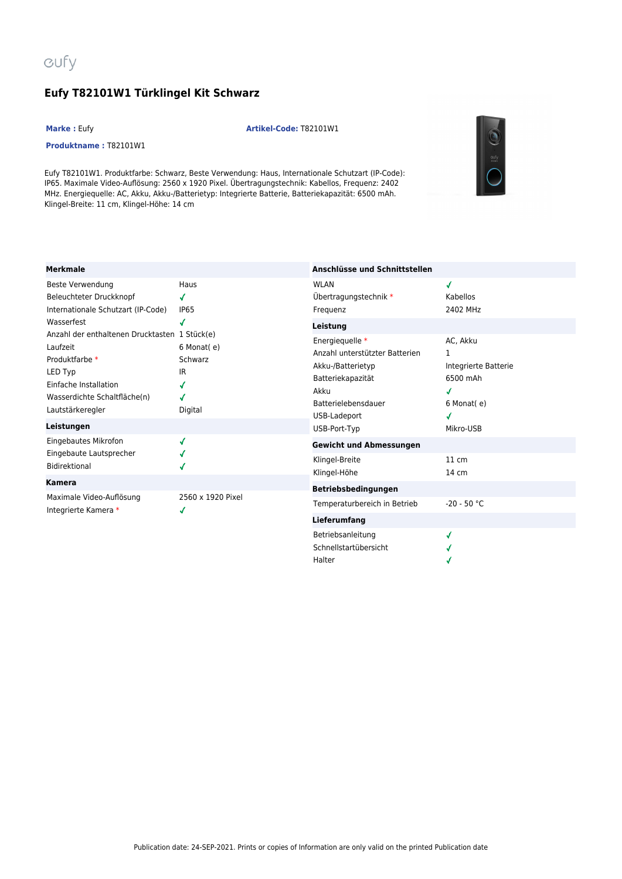## **Eufy T82101W1 Türklingel Kit Schwarz**

## **Marke :** Eufy **Artikel-Code:** T82101W1

## **Produktname :** T82101W1

Eufy T82101W1. Produktfarbe: Schwarz, Beste Verwendung: Haus, Internationale Schutzart (IP-Code): IP65. Maximale Video-Auflösung: 2560 x 1920 Pixel. Übertragungstechnik: Kabellos, Frequenz: 2402 MHz. Energiequelle: AC, Akku, Akku-/Batterietyp: Integrierte Batterie, Batteriekapazität: 6500 mAh. Klingel-Breite: 11 cm, Klingel-Höhe: 14 cm



| <b>Merkmale</b>                                                                                                                                                     |                                              | Anschlüsse und Schnittstellen                                                                                              |                                                                 |
|---------------------------------------------------------------------------------------------------------------------------------------------------------------------|----------------------------------------------|----------------------------------------------------------------------------------------------------------------------------|-----------------------------------------------------------------|
| Beste Verwendung<br>Beleuchteter Druckknopf<br>Internationale Schutzart (IP-Code)<br>Wasserfest                                                                     | Haus<br>J<br>IP <sub>65</sub><br>J           | <b>WLAN</b><br>Übertragungstechnik *<br>Frequenz<br>Leistung                                                               | ✔<br>Kabellos<br>2402 MHz                                       |
| Anzahl der enthaltenen Drucktasten 1 Stück(e)<br>Laufzeit<br>Produktfarbe *<br>LED Typ<br>Einfache Installation<br>Wasserdichte Schaltfläche(n)<br>Lautstärkeregler | 6 Monat(e)<br>Schwarz<br>IR.<br>J<br>Digital | Energiequelle *<br>Anzahl unterstützter Batterien<br>Akku-/Batterietyp<br>Batteriekapazität<br>Akku<br>Batterielebensdauer | AC, Akku<br>1<br>Integrierte Batterie<br>6500 mAh<br>6 Monat(e) |
| Leistungen                                                                                                                                                          |                                              | USB-Ladeport<br>USB-Port-Typ                                                                                               | ✔<br>Mikro-USB                                                  |
| Eingebautes Mikrofon<br>Eingebaute Lautsprecher<br>Bidirektional                                                                                                    | J                                            | <b>Gewicht und Abmessungen</b><br>Klingel-Breite<br>Klingel-Höhe                                                           | $11 \text{ cm}$<br>14 cm                                        |
| Kamera                                                                                                                                                              |                                              | Betriebsbedingungen                                                                                                        |                                                                 |
| Maximale Video-Auflösung<br>Integrierte Kamera *                                                                                                                    | 2560 x 1920 Pixel<br>√                       | Temperaturbereich in Betrieb<br><b>Lieferumfang</b>                                                                        | $-20 - 50 °C$                                                   |
|                                                                                                                                                                     |                                              | Betriebsanleitung                                                                                                          | √                                                               |

Schnellstartübersicht

 $\checkmark$ J

Halter